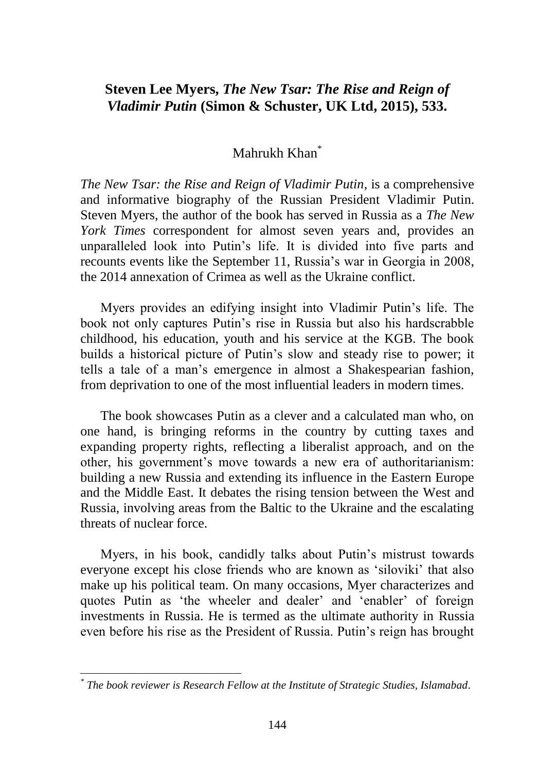## **Steven Lee Myers,** *The New Tsar: The Rise and Reign of Vladimir Putin* **(Simon & Schuster, UK Ltd, 2015), 533.**

## Mahrukh Khan<sup>\*</sup>

*The New Tsar: the Rise and Reign of Vladimir Putin*, is a comprehensive and informative biography of the Russian President Vladimir Putin. Steven Myers, the author of the book has served in Russia as a *The New York Times* correspondent for almost seven years and, provides an unparalleled look into Putin"s life. It is divided into five parts and recounts events like the September 11, Russia"s war in Georgia in 2008, the 2014 annexation of Crimea as well as the Ukraine conflict.

Myers provides an edifying insight into Vladimir Putin"s life. The book not only captures Putin"s rise in Russia but also his hardscrabble childhood, his education, youth and his service at the KGB. The book builds a historical picture of Putin"s slow and steady rise to power; it tells a tale of a man"s emergence in almost a Shakespearian fashion, from deprivation to one of the most influential leaders in modern times.

The book showcases Putin as a clever and a calculated man who, on one hand, is bringing reforms in the country by cutting taxes and expanding property rights, reflecting a liberalist approach, and on the other, his government"s move towards a new era of authoritarianism: building a new Russia and extending its influence in the Eastern Europe and the Middle East. It debates the rising tension between the West and Russia, involving areas from the Baltic to the Ukraine and the escalating threats of nuclear force.

Myers, in his book, candidly talks about Putin"s mistrust towards everyone except his close friends who are known as "siloviki" that also make up his political team. On many occasions, Myer characterizes and quotes Putin as 'the wheeler and dealer' and 'enabler' of foreign investments in Russia. He is termed as the ultimate authority in Russia even before his rise as the President of Russia. Putin"s reign has brought

*<sup>\*</sup> The book reviewer is Research Fellow at the Institute of Strategic Studies, Islamabad.*